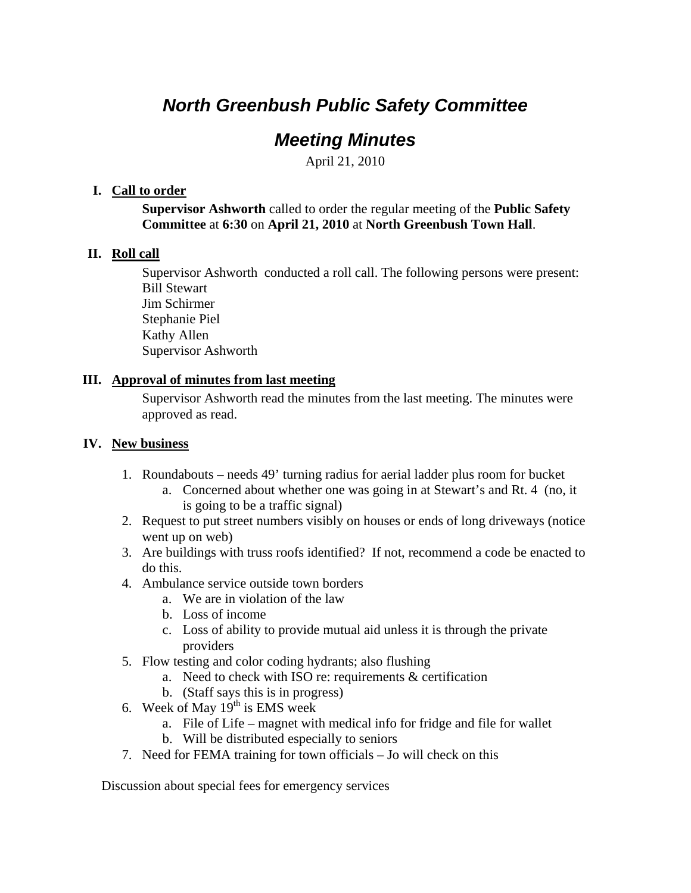# *North Greenbush Public Safety Committee*

## *Meeting Minutes*

April 21, 2010

#### **I. Call to order**

**Supervisor Ashworth** called to order the regular meeting of the **Public Safety Committee** at **6:30** on **April 21, 2010** at **North Greenbush Town Hall**.

### **II. Roll call**

Supervisor Ashworth conducted a roll call. The following persons were present: Bill Stewart Jim Schirmer Stephanie Piel Kathy Allen Supervisor Ashworth

### **III. Approval of minutes from last meeting**

Supervisor Ashworth read the minutes from the last meeting. The minutes were approved as read.

### **IV. New business**

- 1. Roundabouts needs 49' turning radius for aerial ladder plus room for bucket
	- a. Concerned about whether one was going in at Stewart's and Rt. 4 (no, it is going to be a traffic signal)
- 2. Request to put street numbers visibly on houses or ends of long driveways (notice went up on web)
- 3. Are buildings with truss roofs identified? If not, recommend a code be enacted to do this.
- 4. Ambulance service outside town borders
	- a. We are in violation of the law
	- b. Loss of income
	- c. Loss of ability to provide mutual aid unless it is through the private providers
- 5. Flow testing and color coding hydrants; also flushing
	- a. Need to check with ISO re: requirements & certification
	- b. (Staff says this is in progress)
- 6. Week of May  $19<sup>th</sup>$  is EMS week
	- a. File of Life magnet with medical info for fridge and file for wallet
	- b. Will be distributed especially to seniors
- 7. Need for FEMA training for town officials Jo will check on this

Discussion about special fees for emergency services